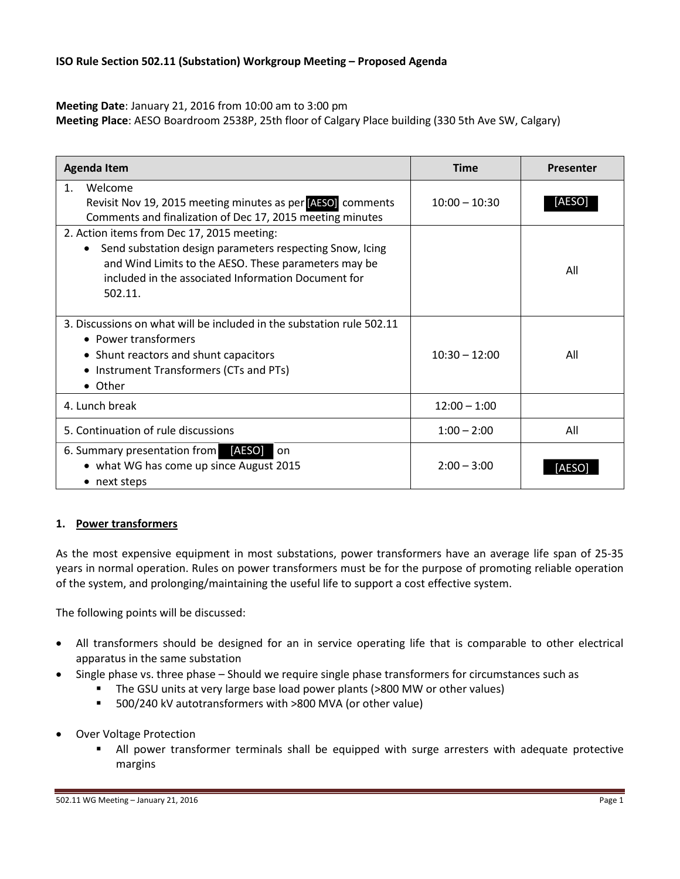#### **Meeting Date**: January 21, 2016 from 10:00 am to 3:00 pm

**Meeting Place**: AESO Boardroom 2538P, 25th floor of Calgary Place building (330 5th Ave SW, Calgary)

| <b>Agenda Item</b>                                                                                                                                                                                                               | <b>Time</b>     | <b>Presenter</b> |
|----------------------------------------------------------------------------------------------------------------------------------------------------------------------------------------------------------------------------------|-----------------|------------------|
| Welcome<br>1 <sub>1</sub><br>Revisit Nov 19, 2015 meeting minutes as per <b>AESO</b> comments<br>Comments and finalization of Dec 17, 2015 meeting minutes                                                                       | $10:00 - 10:30$ | [AESO]           |
| 2. Action items from Dec 17, 2015 meeting:<br>Send substation design parameters respecting Snow, Icing<br>and Wind Limits to the AESO. These parameters may be<br>included in the associated Information Document for<br>502.11. |                 | All              |
| 3. Discussions on what will be included in the substation rule 502.11<br>• Power transformers<br>• Shunt reactors and shunt capacitors<br>Instrument Transformers (CTs and PTs)<br>• Other                                       | $10:30 - 12:00$ | All              |
| 4. Lunch break                                                                                                                                                                                                                   | $12:00 - 1:00$  |                  |
| 5. Continuation of rule discussions                                                                                                                                                                                              | $1:00 - 2:00$   | All              |
| 6. Summary presentation from [AESO]<br>on<br>• what WG has come up since August 2015<br>• next steps                                                                                                                             | $2:00 - 3:00$   | IAESO            |

# **1. Power transformers**

As the most expensive equipment in most substations, power transformers have an average life span of 25-35 years in normal operation. Rules on power transformers must be for the purpose of promoting reliable operation of the system, and prolonging/maintaining the useful life to support a cost effective system.

The following points will be discussed:

- All transformers should be designed for an in service operating life that is comparable to other electrical apparatus in the same substation
- Single phase vs. three phase Should we require single phase transformers for circumstances such as
	- The GSU units at very large base load power plants (>800 MW or other values)
	- 500/240 kV autotransformers with >800 MVA (or other value)
- Over Voltage Protection
	- All power transformer terminals shall be equipped with surge arresters with adequate protective margins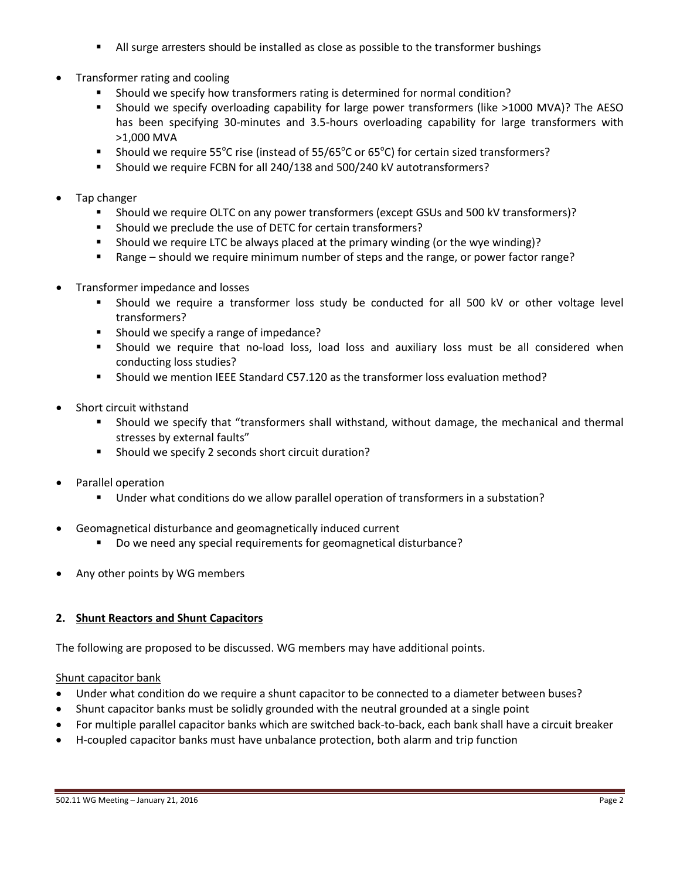- All surge arresters should be installed as close as possible to the transformer bushings
- Transformer rating and cooling
	- Should we specify how transformers rating is determined for normal condition?
	- Should we specify overloading capability for large power transformers (like >1000 MVA)? The AESO has been specifying 30-minutes and 3.5-hours overloading capability for large transformers with >1,000 MVA
	- **Should we require 55°C rise (instead of 55/65°C or 65°C) for certain sized transformers?**
	- Should we require FCBN for all 240/138 and 500/240 kV autotransformers?
- Tap changer
	- Should we require OLTC on any power transformers (except GSUs and 500 kV transformers)?
	- Should we preclude the use of DETC for certain transformers?
	- Should we require LTC be always placed at the primary winding (or the wye winding)?
	- Range should we require minimum number of steps and the range, or power factor range?
- Transformer impedance and losses
	- Should we require a transformer loss study be conducted for all 500 kV or other voltage level transformers?
	- **Should we specify a range of impedance?**
	- Should we require that no-load loss, load loss and auxiliary loss must be all considered when conducting loss studies?
	- Should we mention IEEE Standard C57.120 as the transformer loss evaluation method?
- Short circuit withstand
	- Should we specify that "transformers shall withstand, without damage, the mechanical and thermal stresses by external faults"
	- Should we specify 2 seconds short circuit duration?
- Parallel operation
	- Under what conditions do we allow parallel operation of transformers in a substation?
- Geomagnetical disturbance and geomagnetically induced current
	- Do we need any special requirements for geomagnetical disturbance?
- Any other points by WG members

# **2. Shunt Reactors and Shunt Capacitors**

The following are proposed to be discussed. WG members may have additional points.

# Shunt capacitor bank

- Under what condition do we require a shunt capacitor to be connected to a diameter between buses?
- Shunt capacitor banks must be solidly grounded with the neutral grounded at a single point
- For multiple parallel capacitor banks which are switched back-to-back, each bank shall have a circuit breaker
- H-coupled capacitor banks must have unbalance protection, both alarm and trip function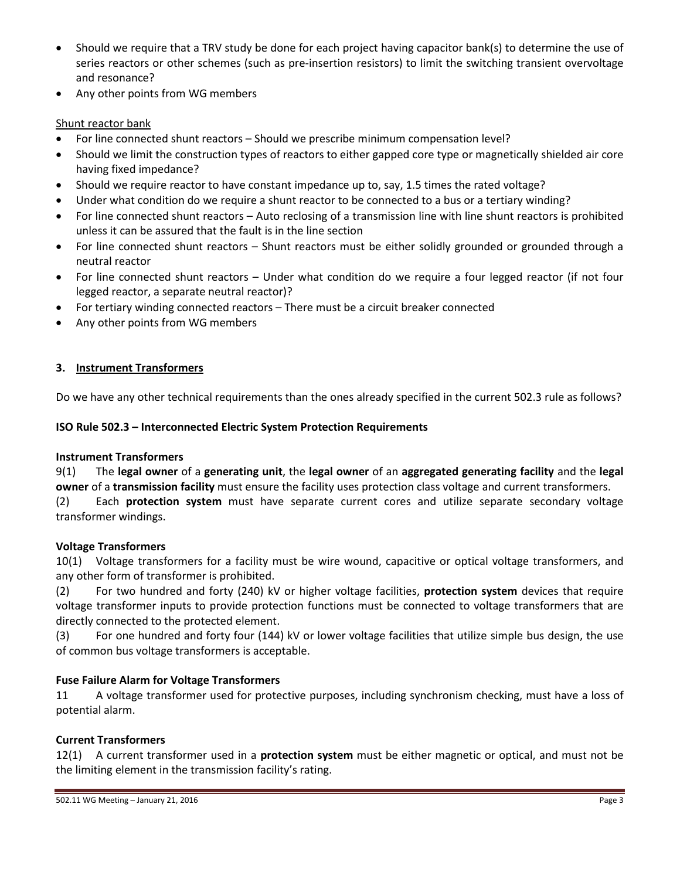- Should we require that a TRV study be done for each project having capacitor bank(s) to determine the use of series reactors or other schemes (such as pre-insertion resistors) to limit the switching transient overvoltage and resonance?
- Any other points from WG members

### Shunt reactor bank

- For line connected shunt reactors Should we prescribe minimum compensation level?
- Should we limit the construction types of reactors to either gapped core type or magnetically shielded air core having fixed impedance?
- Should we require reactor to have constant impedance up to, say, 1.5 times the rated voltage?
- Under what condition do we require a shunt reactor to be connected to a bus or a tertiary winding?
- For line connected shunt reactors Auto reclosing of a transmission line with line shunt reactors is prohibited unless it can be assured that the fault is in the line section
- For line connected shunt reactors Shunt reactors must be either solidly grounded or grounded through a neutral reactor
- For line connected shunt reactors Under what condition do we require a four legged reactor (if not four legged reactor, a separate neutral reactor)?
- For tertiary winding connected reactors There must be a circuit breaker connected
- Any other points from WG members

#### **3. Instrument Transformers**

Do we have any other technical requirements than the ones already specified in the current 502.3 rule as follows?

#### **ISO Rule 502.3 – Interconnected Electric System Protection Requirements**

#### **Instrument Transformers**

9(1) The **legal owner** of a **generating unit**, the **legal owner** of an **aggregated generating facility** and the **legal owner** of a **transmission facility** must ensure the facility uses protection class voltage and current transformers. (2) Each **protection system** must have separate current cores and utilize separate secondary voltage transformer windings.

#### **Voltage Transformers**

10(1) Voltage transformers for a facility must be wire wound, capacitive or optical voltage transformers, and any other form of transformer is prohibited.

(2) For two hundred and forty (240) kV or higher voltage facilities, **protection system** devices that require voltage transformer inputs to provide protection functions must be connected to voltage transformers that are directly connected to the protected element.

(3) For one hundred and forty four (144) kV or lower voltage facilities that utilize simple bus design, the use of common bus voltage transformers is acceptable.

#### **Fuse Failure Alarm for Voltage Transformers**

11 A voltage transformer used for protective purposes, including synchronism checking, must have a loss of potential alarm.

#### **Current Transformers**

12(1) A current transformer used in a **protection system** must be either magnetic or optical, and must not be the limiting element in the transmission facility's rating.